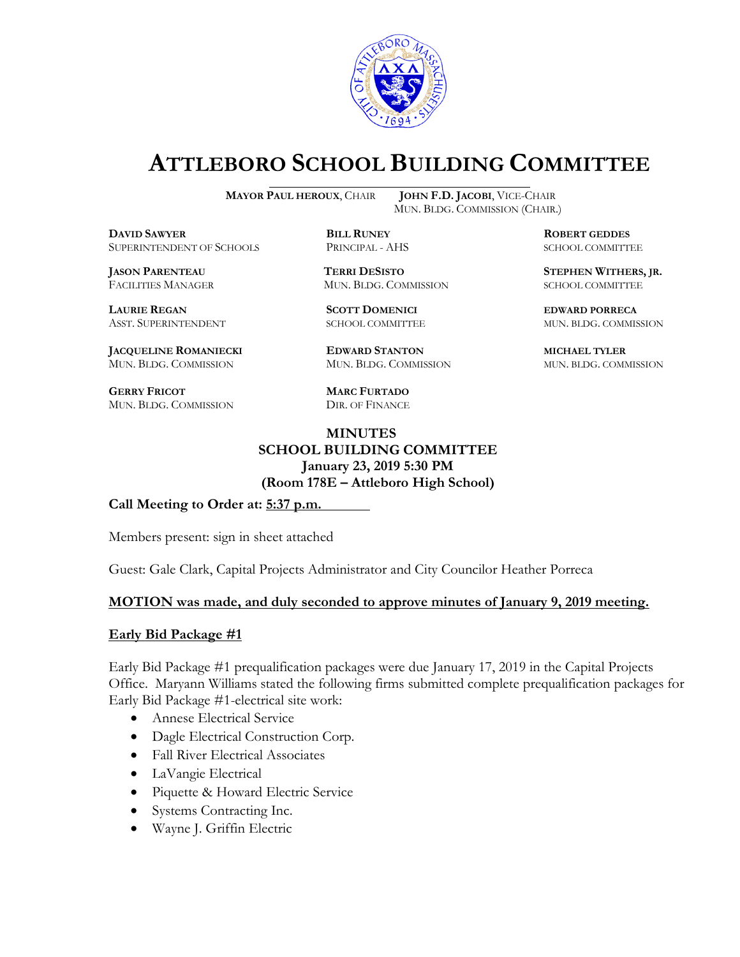

# **ATTLEBORO SCHOOL BUILDING COMMITTEE**

**MAYOR PAUL HEROUX**, CHAIR **JOHN F.D. JACOBI**, VICE-CHAIR

**DAVID SAWYER BILL RUNEY ROBERT GEDDES** SUPERINTENDENT OF SCHOOLS PRINCIPAL - AHS SCHOOL COMMITTEE

FACILITIES MANAGER MUN. BLDG. COMMISSION SCHOOL COMMITTEE

**LAURIE REGAN SCOTT DOMENICI EDWARD PORRECA**

**JACQUELINE ROMANIECKI EDWARD STANTON MICHAEL TYLER** MUN. BLDG. COMMISSION MUN. BLDG. COMMISSION MUN. BLDG. COMMISSION

**GERRY FRICOT MARC FURTADO** MUN. BLDG. COMMISSION DIR. OF FINANCE

MUN. BLDG. COMMISSION (CHAIR.)

**JASON PARENTEAU TERRI DESISTO STEPHEN WITHERS, JR.**

ASST. SUPERINTENDENT SCHOOL COMMITTEE MUN. BLDG. COMMISSION

**MINUTES SCHOOL BUILDING COMMITTEE January 23, 2019 5:30 PM**

**(Room 178E – Attleboro High School)**

**Call Meeting to Order at: 5:37 p.m.**

Members present: sign in sheet attached

Guest: Gale Clark, Capital Projects Administrator and City Councilor Heather Porreca

#### **MOTION was made, and duly seconded to approve minutes of January 9, 2019 meeting.**

#### **Early Bid Package #1**

Early Bid Package #1 prequalification packages were due January 17, 2019 in the Capital Projects Office. Maryann Williams stated the following firms submitted complete prequalification packages for Early Bid Package #1-electrical site work:

- Annese Electrical Service
- Dagle Electrical Construction Corp.
- Fall River Electrical Associates
- LaVangie Electrical
- Piquette & Howard Electric Service
- Systems Contracting Inc.
- Wayne J. Griffin Electric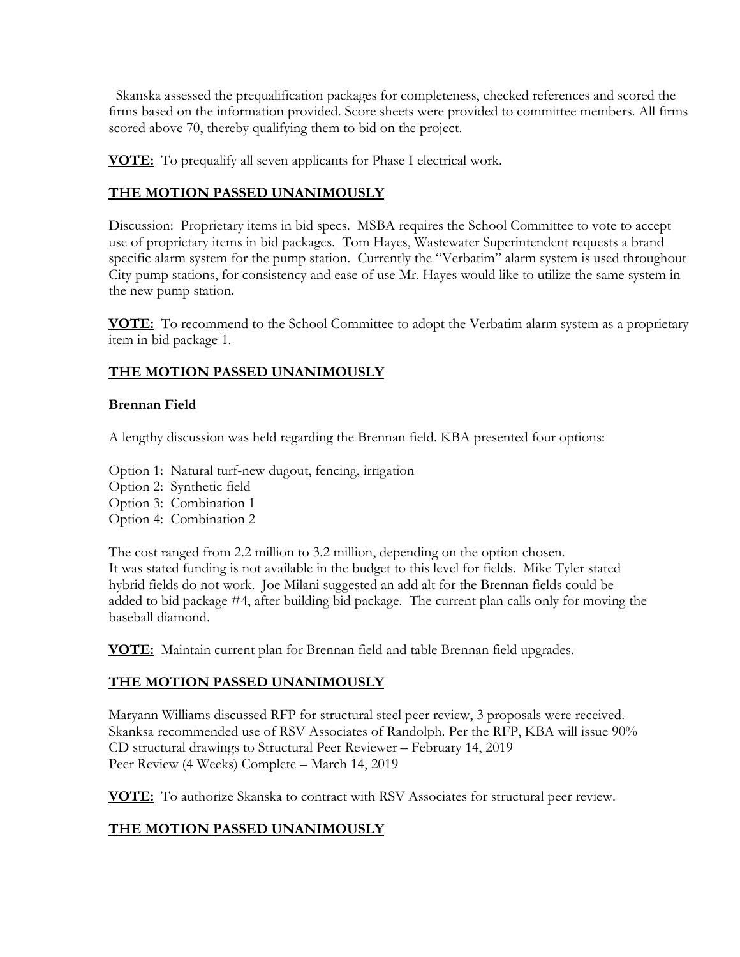Skanska assessed the prequalification packages for completeness, checked references and scored the firms based on the information provided. Score sheets were provided to committee members. All firms scored above 70, thereby qualifying them to bid on the project.

**VOTE:** To prequalify all seven applicants for Phase I electrical work.

## **THE MOTION PASSED UNANIMOUSLY**

Discussion: Proprietary items in bid specs. MSBA requires the School Committee to vote to accept use of proprietary items in bid packages. Tom Hayes, Wastewater Superintendent requests a brand specific alarm system for the pump station. Currently the "Verbatim" alarm system is used throughout City pump stations, for consistency and ease of use Mr. Hayes would like to utilize the same system in the new pump station.

**VOTE:** To recommend to the School Committee to adopt the Verbatim alarm system as a proprietary item in bid package 1.

## **THE MOTION PASSED UNANIMOUSLY**

#### **Brennan Field**

A lengthy discussion was held regarding the Brennan field. KBA presented four options:

Option 1: Natural turf-new dugout, fencing, irrigation

- Option 2: Synthetic field
- Option 3: Combination 1
- Option 4: Combination 2

The cost ranged from 2.2 million to 3.2 million, depending on the option chosen. It was stated funding is not available in the budget to this level for fields. Mike Tyler stated hybrid fields do not work. Joe Milani suggested an add alt for the Brennan fields could be added to bid package #4, after building bid package. The current plan calls only for moving the baseball diamond.

**VOTE:** Maintain current plan for Brennan field and table Brennan field upgrades.

### **THE MOTION PASSED UNANIMOUSLY**

Maryann Williams discussed RFP for structural steel peer review, 3 proposals were received. Skanksa recommended use of RSV Associates of Randolph. Per the RFP, KBA will issue 90% CD structural drawings to Structural Peer Reviewer – February 14, 2019 Peer Review (4 Weeks) Complete – March 14, 2019

**VOTE:** To authorize Skanska to contract with RSV Associates for structural peer review.

# **THE MOTION PASSED UNANIMOUSLY**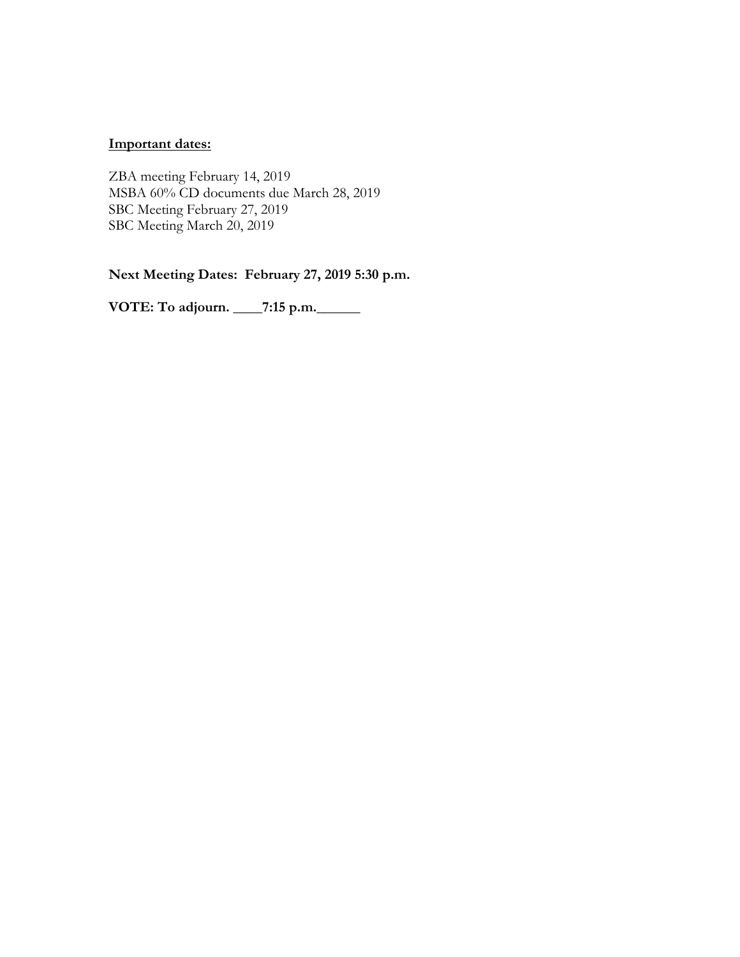#### **Important dates:**

ZBA meeting February 14, 2019 MSBA 60% CD documents due March 28, 2019 SBC Meeting February 27, 2019 SBC Meeting March 20, 2019

**Next Meeting Dates: February 27, 2019 5:30 p.m.**

**VOTE: To adjourn. \_\_\_\_7:15 p.m.\_\_\_\_\_\_**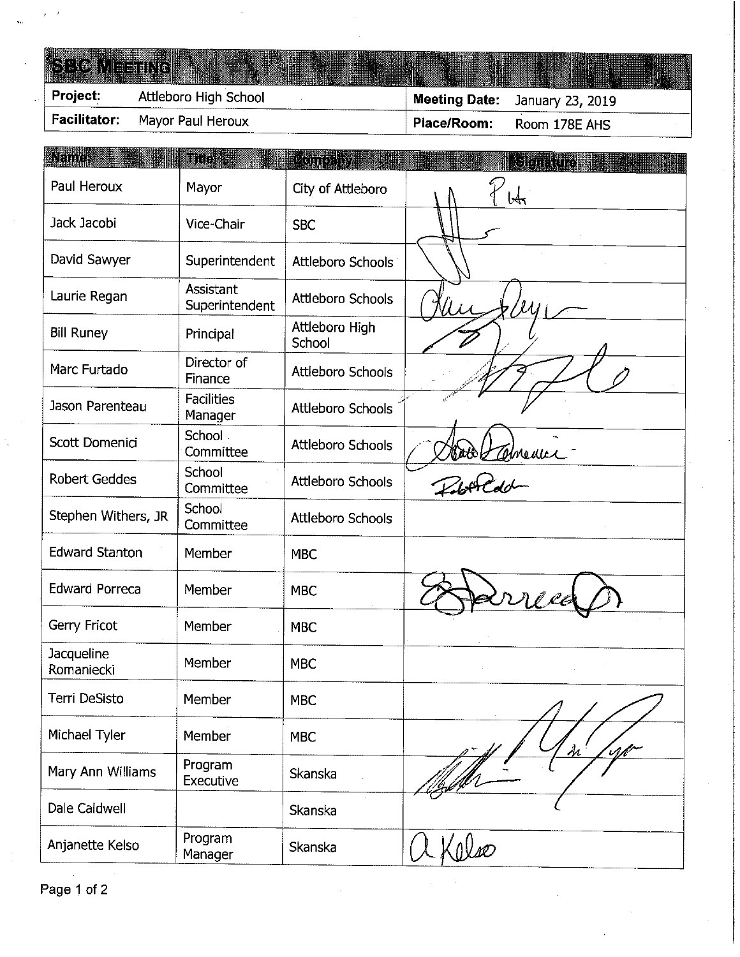| Facilitator:    | Mayor Paul Heroux     | Place/Room: | Room 178E AHS                  |  |
|-----------------|-----------------------|-------------|--------------------------------|--|
| <b>Project:</b> | Attleboro High School |             | Meeting Date: January 23, 2019 |  |
| SEIGNEENC LE    |                       |             |                                |  |

| ALEIDD                   | <b>Title a</b>                     | <b>Comprisit</b>         | <b>Steater</b> |
|--------------------------|------------------------------------|--------------------------|----------------|
| Paul Heroux              | Mayor                              | City of Attleboro        | lA.            |
| Jack Jacobi              | Vice-Chair                         | <b>SBC</b>               |                |
| David Sawyer             | Superintendent                     | Attleboro Schools        |                |
| Laurie Regan             | <b>Assistant</b><br>Superintendent | <b>Attleboro Schools</b> |                |
| <b>Bill Runey</b>        | Principal                          | Attleboro High<br>School |                |
| Marc Furtado             | Director of<br>Finance             | Attleboro Schools        |                |
| Jason Parenteau          | <b>Facilities</b><br>Manager       | <b>Attleboro Schools</b> |                |
| Scott Domenici           | School .<br>Committee              | <b>Attleboro Schools</b> |                |
| <b>Robert Geddes</b>     | School<br>Committee                | Attleboro Schools        | Doob Valmenue  |
| Stephen Withers, JR      | School<br>Committee                | <b>Attleboro Schools</b> |                |
| <b>Edward Stanton</b>    | Member                             | <b>MBC</b>               |                |
| <b>Edward Porreca</b>    | Member                             | <b>MBC</b>               |                |
| Gerry Fricot             | Member                             | <b>MBC</b>               |                |
| Jacqueline<br>Romaniecki | Member                             | <b>MBC</b>               |                |
| Terri DeSisto            | Member                             | MBC                      |                |
| Michael Tyler            | Member                             | <b>MBC</b>               | $\frac{1}{2}$  |
| Mary Ann Williams        | Program<br>Executive               | Skanska                  |                |
| Dale Caldwell            |                                    | Skanska                  |                |
| Anjanette Kelso          | Program<br>Manager                 | Skanska                  |                |

**Representative** 

**THE REPORT OF A PROPERTY OF A PARTICULAR PROPERTY**